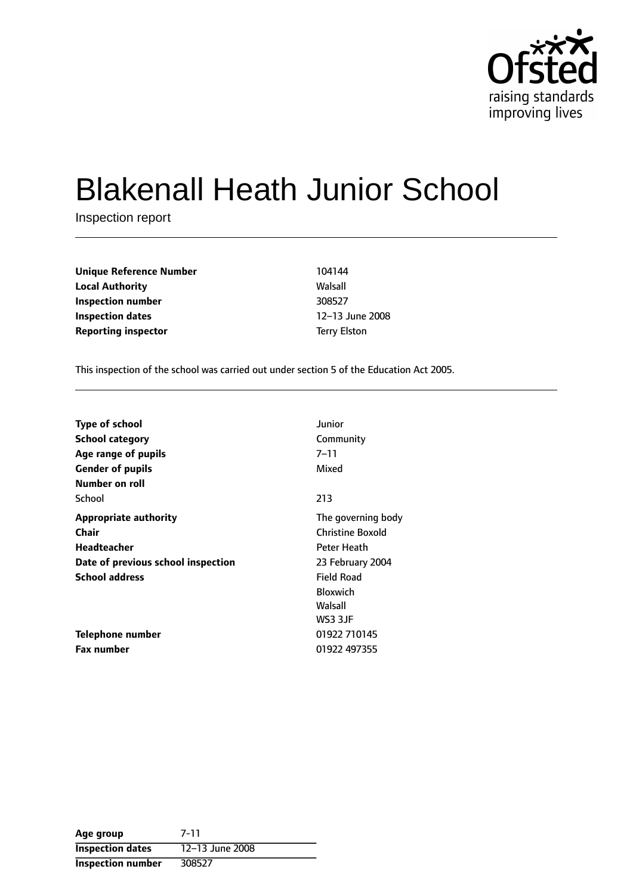

# Blakenall Heath Junior School

Inspection report

**Unique Reference Number** 104144 **Local Authority Walsall Inspection number** 308527 **Inspection dates** 12-13 June 2008 **Reporting inspector** Terry Elston

This inspection of the school was carried out under section 5 of the Education Act 2005.

| <b>Type of school</b>              | Junior                  |
|------------------------------------|-------------------------|
| <b>School category</b>             | Community               |
| Age range of pupils                | 7–11                    |
| <b>Gender of pupils</b>            | Mixed                   |
| Number on roll                     |                         |
| School                             | 213                     |
| <b>Appropriate authority</b>       | The governing body      |
| <b>Chair</b>                       | <b>Christine Boxold</b> |
| Headteacher                        | Peter Heath             |
| Date of previous school inspection | 23 February 2004        |
| <b>School address</b>              | <b>Field Road</b>       |
|                                    | <b>Bloxwich</b>         |
|                                    | Walsall                 |
|                                    | WS3 3JF                 |
| Telephone number                   | 01922 710145            |
| <b>Fax number</b>                  | 01922 497355            |

| Age group                | $7 - 11$        |
|--------------------------|-----------------|
| <b>Inspection dates</b>  | 12-13 June 2008 |
| <b>Inspection number</b> | 308527          |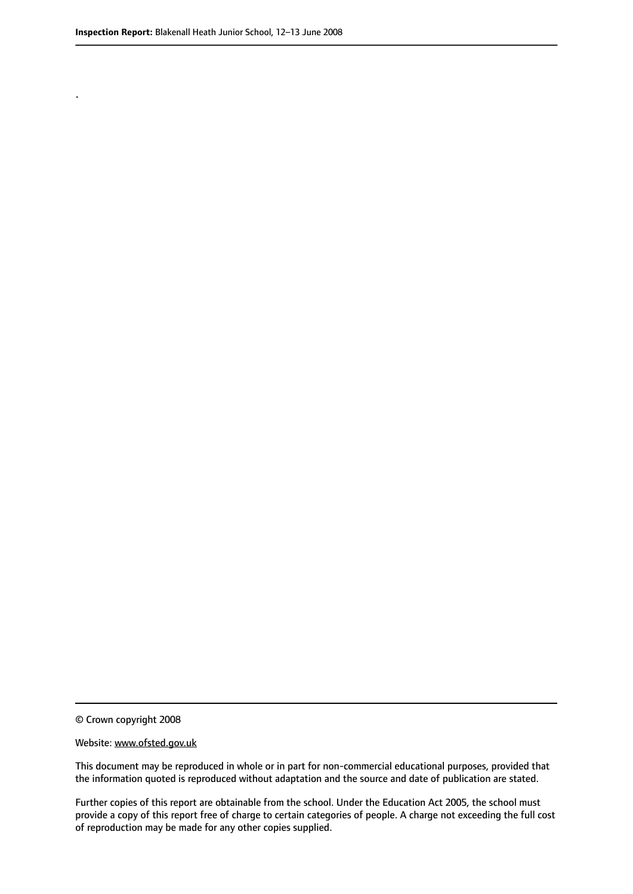.

© Crown copyright 2008

#### Website: www.ofsted.gov.uk

This document may be reproduced in whole or in part for non-commercial educational purposes, provided that the information quoted is reproduced without adaptation and the source and date of publication are stated.

Further copies of this report are obtainable from the school. Under the Education Act 2005, the school must provide a copy of this report free of charge to certain categories of people. A charge not exceeding the full cost of reproduction may be made for any other copies supplied.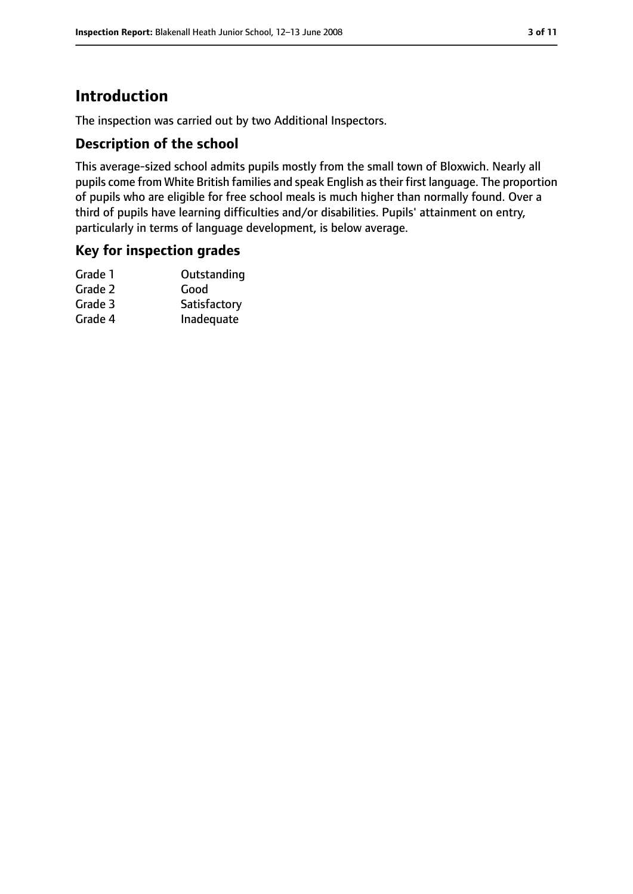# **Introduction**

The inspection was carried out by two Additional Inspectors.

## **Description of the school**

This average-sized school admits pupils mostly from the small town of Bloxwich. Nearly all pupils come from White British families and speak English astheir first language. The proportion of pupils who are eligible for free school meals is much higher than normally found. Over a third of pupils have learning difficulties and/or disabilities. Pupils' attainment on entry, particularly in terms of language development, is below average.

## **Key for inspection grades**

| Grade 1 | Outstanding  |
|---------|--------------|
| Grade 2 | Good         |
| Grade 3 | Satisfactory |
| Grade 4 | Inadequate   |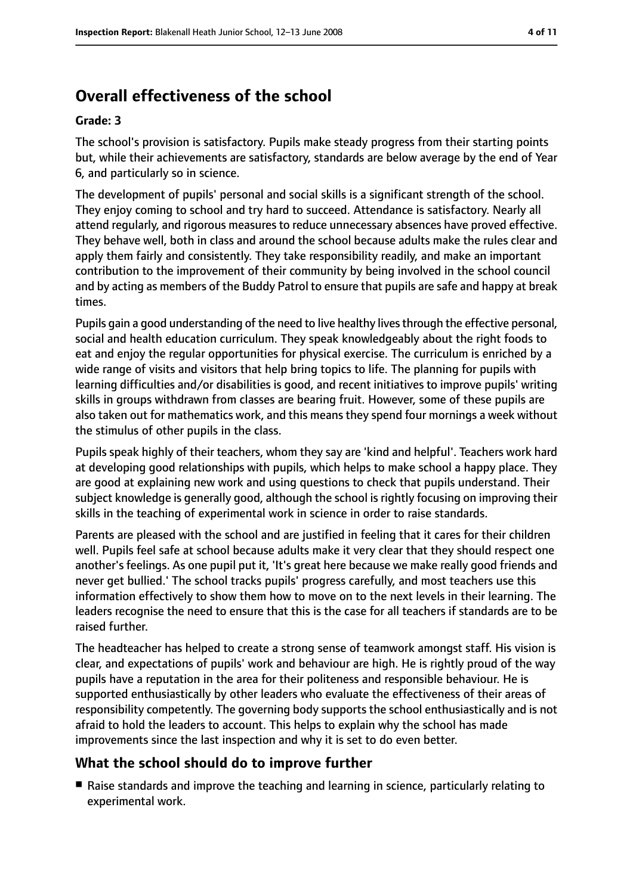# **Overall effectiveness of the school**

#### **Grade: 3**

The school's provision is satisfactory. Pupils make steady progress from their starting points but, while their achievements are satisfactory, standards are below average by the end of Year 6, and particularly so in science.

The development of pupils' personal and social skills is a significant strength of the school. They enjoy coming to school and try hard to succeed. Attendance is satisfactory. Nearly all attend regularly, and rigorous measures to reduce unnecessary absences have proved effective. They behave well, both in class and around the school because adults make the rules clear and apply them fairly and consistently. They take responsibility readily, and make an important contribution to the improvement of their community by being involved in the school council and by acting as members of the Buddy Patrol to ensure that pupils are safe and happy at break times.

Pupils gain a good understanding of the need to live healthy lives through the effective personal, social and health education curriculum. They speak knowledgeably about the right foods to eat and enjoy the regular opportunities for physical exercise. The curriculum is enriched by a wide range of visits and visitors that help bring topics to life. The planning for pupils with learning difficulties and/or disabilities is good, and recent initiatives to improve pupils' writing skills in groups withdrawn from classes are bearing fruit. However, some of these pupils are also taken out for mathematics work, and this means they spend four mornings a week without the stimulus of other pupils in the class.

Pupils speak highly of their teachers, whom they say are 'kind and helpful'. Teachers work hard at developing good relationships with pupils, which helps to make school a happy place. They are good at explaining new work and using questions to check that pupils understand. Their subject knowledge is generally good, although the school is rightly focusing on improving their skills in the teaching of experimental work in science in order to raise standards.

Parents are pleased with the school and are justified in feeling that it cares for their children well. Pupils feel safe at school because adults make it very clear that they should respect one another's feelings. As one pupil put it, 'It's great here because we make really good friends and never get bullied.' The school tracks pupils' progress carefully, and most teachers use this information effectively to show them how to move on to the next levels in their learning. The leaders recognise the need to ensure that this is the case for all teachers if standards are to be raised further.

The headteacher has helped to create a strong sense of teamwork amongst staff. His vision is clear, and expectations of pupils' work and behaviour are high. He is rightly proud of the way pupils have a reputation in the area for their politeness and responsible behaviour. He is supported enthusiastically by other leaders who evaluate the effectiveness of their areas of responsibility competently. The governing body supports the school enthusiastically and is not afraid to hold the leaders to account. This helps to explain why the school has made improvements since the last inspection and why it is set to do even better.

#### **What the school should do to improve further**

■ Raise standards and improve the teaching and learning in science, particularly relating to experimental work.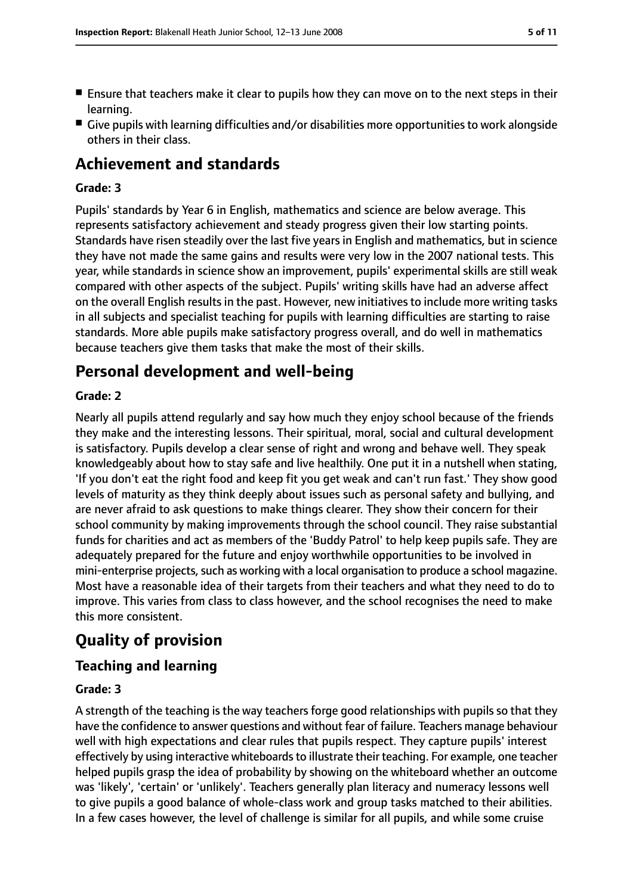- Ensure that teachers make it clear to pupils how they can move on to the next steps in their learning.
- Give pupils with learning difficulties and/or disabilities more opportunities to work alongside others in their class.

## **Achievement and standards**

#### **Grade: 3**

Pupils' standards by Year 6 in English, mathematics and science are below average. This represents satisfactory achievement and steady progress given their low starting points. Standards have risen steadily over the last five years in English and mathematics, but in science they have not made the same gains and results were very low in the 2007 national tests. This year, while standards in science show an improvement, pupils' experimental skills are still weak compared with other aspects of the subject. Pupils' writing skills have had an adverse affect on the overall English results in the past. However, new initiatives to include more writing tasks in all subjects and specialist teaching for pupils with learning difficulties are starting to raise standards. More able pupils make satisfactory progress overall, and do well in mathematics because teachers give them tasks that make the most of their skills.

## **Personal development and well-being**

#### **Grade: 2**

Nearly all pupils attend regularly and say how much they enjoy school because of the friends they make and the interesting lessons. Their spiritual, moral, social and cultural development is satisfactory. Pupils develop a clear sense of right and wrong and behave well. They speak knowledgeably about how to stay safe and live healthily. One put it in a nutshell when stating, 'If you don't eat the right food and keep fit you get weak and can't run fast.' They show good levels of maturity as they think deeply about issues such as personal safety and bullying, and are never afraid to ask questions to make things clearer. They show their concern for their school community by making improvements through the school council. They raise substantial funds for charities and act as members of the 'Buddy Patrol' to help keep pupils safe. They are adequately prepared for the future and enjoy worthwhile opportunities to be involved in mini-enterprise projects, such as working with a local organisation to produce a school magazine. Most have a reasonable idea of their targets from their teachers and what they need to do to improve. This varies from class to class however, and the school recognises the need to make this more consistent.

# **Quality of provision**

#### **Teaching and learning**

#### **Grade: 3**

A strength of the teaching is the way teachers forge good relationships with pupils so that they have the confidence to answer questions and without fear of failure. Teachers manage behaviour well with high expectations and clear rules that pupils respect. They capture pupils' interest effectively by using interactive whiteboards to illustrate their teaching. For example, one teacher helped pupils grasp the idea of probability by showing on the whiteboard whether an outcome was 'likely', 'certain' or 'unlikely'. Teachers generally plan literacy and numeracy lessons well to give pupils a good balance of whole-class work and group tasks matched to their abilities. In a few cases however, the level of challenge is similar for all pupils, and while some cruise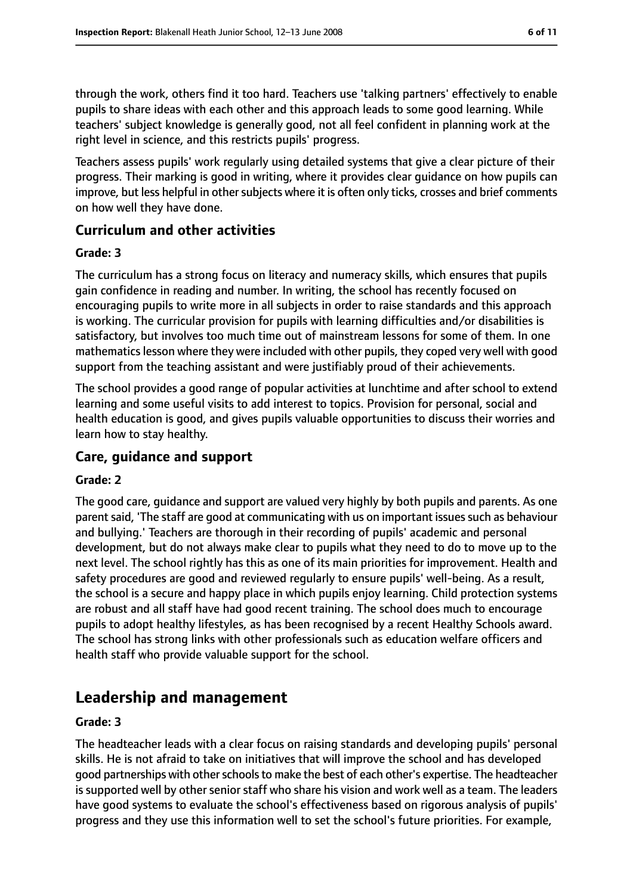through the work, others find it too hard. Teachers use 'talking partners' effectively to enable pupils to share ideas with each other and this approach leads to some good learning. While teachers' subject knowledge is generally good, not all feel confident in planning work at the right level in science, and this restricts pupils' progress.

Teachers assess pupils' work regularly using detailed systems that give a clear picture of their progress. Their marking is good in writing, where it provides clear guidance on how pupils can improve, but less helpful in other subjects where it is often only ticks, crosses and brief comments on how well they have done.

## **Curriculum and other activities**

#### **Grade: 3**

The curriculum has a strong focus on literacy and numeracy skills, which ensures that pupils gain confidence in reading and number. In writing, the school has recently focused on encouraging pupils to write more in all subjects in order to raise standards and this approach is working. The curricular provision for pupils with learning difficulties and/or disabilities is satisfactory, but involves too much time out of mainstream lessons for some of them. In one mathematicslesson where they were included with other pupils, they coped very well with good support from the teaching assistant and were justifiably proud of their achievements.

The school provides a good range of popular activities at lunchtime and after school to extend learning and some useful visits to add interest to topics. Provision for personal, social and health education is good, and gives pupils valuable opportunities to discuss their worries and learn how to stay healthy.

#### **Care, guidance and support**

#### **Grade: 2**

The good care, guidance and support are valued very highly by both pupils and parents. As one parent said, 'The staff are good at communicating with us on important issues such as behaviour and bullying.' Teachers are thorough in their recording of pupils' academic and personal development, but do not always make clear to pupils what they need to do to move up to the next level. The school rightly has this as one of its main priorities for improvement. Health and safety procedures are good and reviewed regularly to ensure pupils' well-being. As a result, the school is a secure and happy place in which pupils enjoy learning. Child protection systems are robust and all staff have had good recent training. The school does much to encourage pupils to adopt healthy lifestyles, as has been recognised by a recent Healthy Schools award. The school has strong links with other professionals such as education welfare officers and health staff who provide valuable support for the school.

## **Leadership and management**

#### **Grade: 3**

The headteacher leads with a clear focus on raising standards and developing pupils' personal skills. He is not afraid to take on initiatives that will improve the school and has developed good partnerships with other schools to make the best of each other's expertise. The headteacher is supported well by other senior staff who share his vision and work well as a team. The leaders have good systems to evaluate the school's effectiveness based on rigorous analysis of pupils' progress and they use this information well to set the school's future priorities. For example,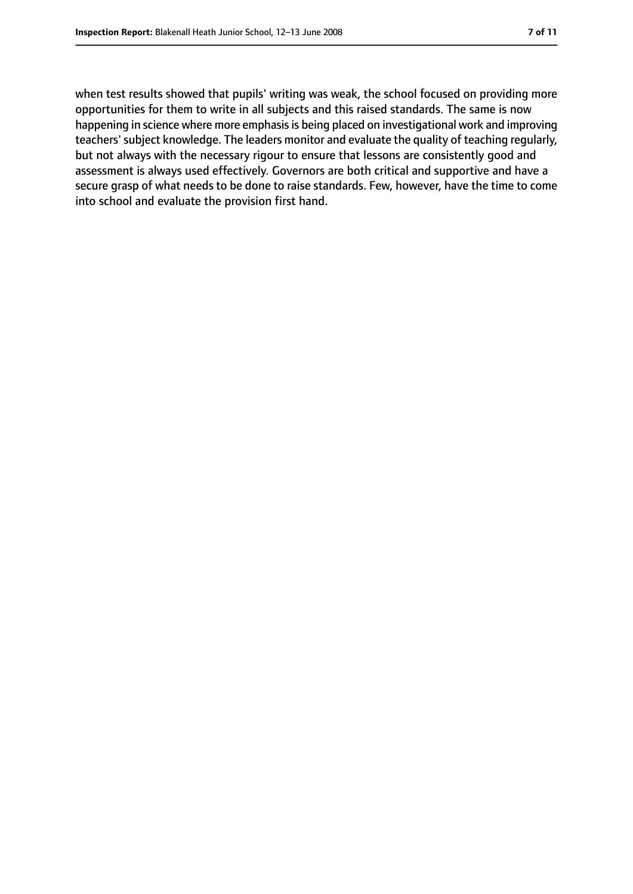when test results showed that pupils' writing was weak, the school focused on providing more opportunities for them to write in all subjects and this raised standards. The same is now happening in science where more emphasis is being placed on investigational work and improving teachers'subject knowledge. The leaders monitor and evaluate the quality of teaching regularly, but not always with the necessary rigour to ensure that lessons are consistently good and assessment is always used effectively. Governors are both critical and supportive and have a secure grasp of what needs to be done to raise standards. Few, however, have the time to come into school and evaluate the provision first hand.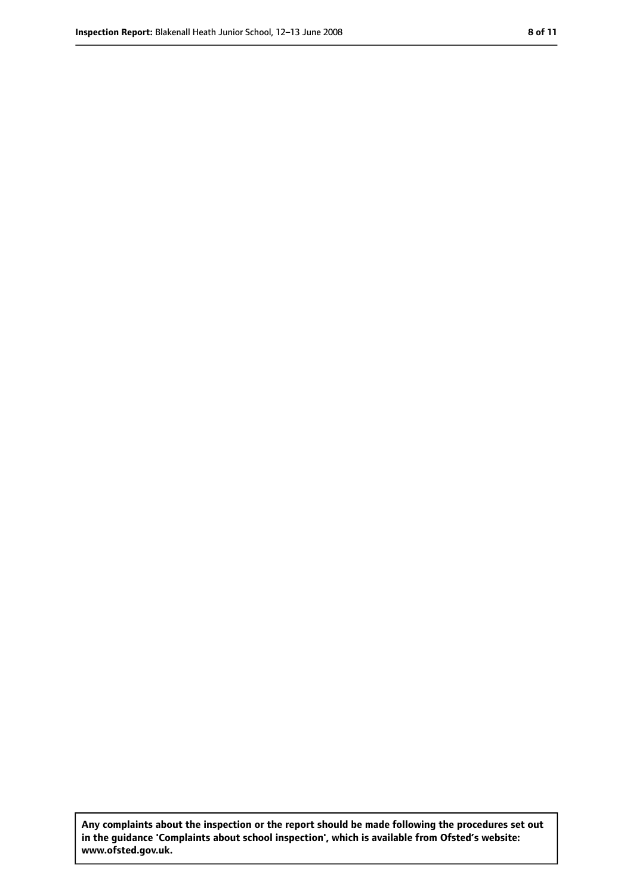**Any complaints about the inspection or the report should be made following the procedures set out in the guidance 'Complaints about school inspection', which is available from Ofsted's website: www.ofsted.gov.uk.**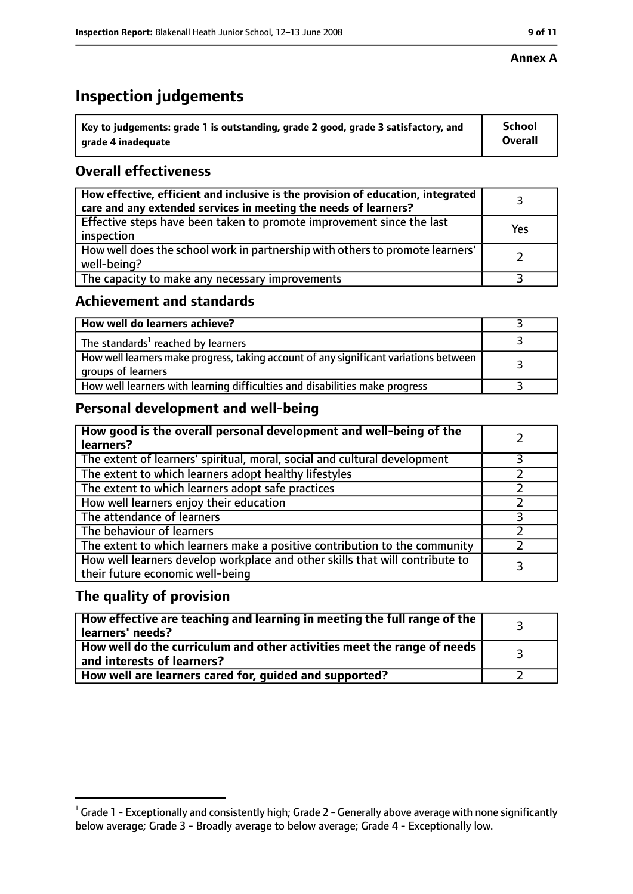# **Inspection judgements**

| $^{\backprime}$ Key to judgements: grade 1 is outstanding, grade 2 good, grade 3 satisfactory, and | <b>School</b>  |
|----------------------------------------------------------------------------------------------------|----------------|
| arade 4 inadequate                                                                                 | <b>Overall</b> |

## **Overall effectiveness**

| How effective, efficient and inclusive is the provision of education, integrated<br>care and any extended services in meeting the needs of learners? |     |
|------------------------------------------------------------------------------------------------------------------------------------------------------|-----|
| Effective steps have been taken to promote improvement since the last<br>inspection                                                                  | Yes |
| How well does the school work in partnership with others to promote learners'<br>well-being?                                                         |     |
| The capacity to make any necessary improvements                                                                                                      |     |

## **Achievement and standards**

| How well do learners achieve?                                                                               |  |
|-------------------------------------------------------------------------------------------------------------|--|
| The standards <sup>1</sup> reached by learners                                                              |  |
| How well learners make progress, taking account of any significant variations between<br>groups of learners |  |
| How well learners with learning difficulties and disabilities make progress                                 |  |

## **Personal development and well-being**

| How good is the overall personal development and well-being of the<br>learners?                                  |  |
|------------------------------------------------------------------------------------------------------------------|--|
| The extent of learners' spiritual, moral, social and cultural development                                        |  |
| The extent to which learners adopt healthy lifestyles                                                            |  |
| The extent to which learners adopt safe practices                                                                |  |
| How well learners enjoy their education                                                                          |  |
| The attendance of learners                                                                                       |  |
| The behaviour of learners                                                                                        |  |
| The extent to which learners make a positive contribution to the community                                       |  |
| How well learners develop workplace and other skills that will contribute to<br>their future economic well-being |  |

## **The quality of provision**

| $\mid$ How effective are teaching and learning in meeting the full range of the $\mid$<br>learners' needs? |  |
|------------------------------------------------------------------------------------------------------------|--|
| How well do the curriculum and other activities meet the range of needs  <br>and interests of learners?    |  |
| How well are learners cared for, guided and supported?                                                     |  |

 $^1$  Grade 1 - Exceptionally and consistently high; Grade 2 - Generally above average with none significantly below average; Grade 3 - Broadly average to below average; Grade 4 - Exceptionally low.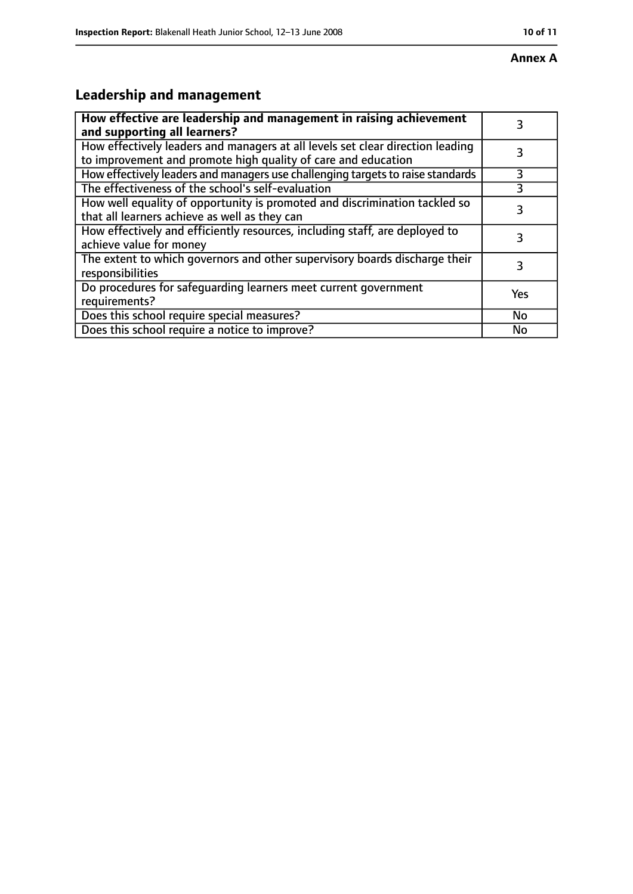# **Leadership and management**

| How effective are leadership and management in raising achievement<br>and supporting all learners?                                              | 3         |
|-------------------------------------------------------------------------------------------------------------------------------------------------|-----------|
| How effectively leaders and managers at all levels set clear direction leading<br>to improvement and promote high quality of care and education |           |
| How effectively leaders and managers use challenging targets to raise standards                                                                 | 3         |
| The effectiveness of the school's self-evaluation                                                                                               | 3         |
| How well equality of opportunity is promoted and discrimination tackled so<br>that all learners achieve as well as they can                     | 3         |
| How effectively and efficiently resources, including staff, are deployed to<br>achieve value for money                                          | 3         |
| The extent to which governors and other supervisory boards discharge their<br>responsibilities                                                  | 3         |
| Do procedures for safequarding learners meet current government<br>requirements?                                                                | Yes       |
| Does this school require special measures?                                                                                                      | <b>No</b> |
| Does this school require a notice to improve?                                                                                                   | No        |